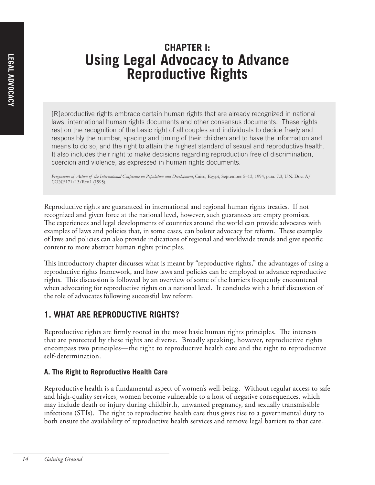# **CHAPTER I: Using Legal Advocacy to Advance Reproductive Rights**

[R]eproductive rights embrace certain human rights that are already recognized in national laws, international human rights documents and other consensus documents. These rights rest on the recognition of the basic right of all couples and individuals to decide freely and responsibly the number, spacing and timing of their children and to have the information and means to do so, and the right to attain the highest standard of sexual and reproductive health. It also includes their right to make decisions regarding reproduction free of discrimination, coercion and violence, as expressed in human rights documents.

Programme of Action of the International Conference on Population and Development, Cairo, Egypt, September 5–13, 1994, para. 7.3, U.N. Doc. A/ CONF.171/13/Rev.1 (1995).

Reproductive rights are guaranteed in international and regional human rights treaties. If not recognized and given force at the national level, however, such guarantees are empty promises. The experiences and legal developments of countries around the world can provide advocates with examples of laws and policies that, in some cases, can bolster advocacy for reform. These examples of laws and policies can also provide indications of regional and worldwide trends and give specific content to more abstract human rights principles.

This introductory chapter discusses what is meant by "reproductive rights," the advantages of using a reproductive rights framework, and how laws and policies can be employed to advance reproductive rights. This discussion is followed by an overview of some of the barriers frequently encountered when advocating for reproductive rights on a national level. It concludes with a brief discussion of the role of advocates following successful law reform.

# **1. WHAT ARE REPRODUCTIVE RIGHTS?**

Reproductive rights are firmly rooted in the most basic human rights principles. The interests that are protected by these rights are diverse. Broadly speaking, however, reproductive rights encompass two principles—the right to reproductive health care and the right to reproductive self-determination.

## **A. The Right to Reproductive Health Care**

Reproductive health is a fundamental aspect of women's well-being. Without regular access to safe and high-quality services, women become vulnerable to a host of negative consequences, which may include death or injury during childbirth, unwanted pregnancy, and sexually transmissible infections (STIs). The right to reproductive health care thus gives rise to a governmental duty to both ensure the availability of reproductive health services and remove legal barriers to that care.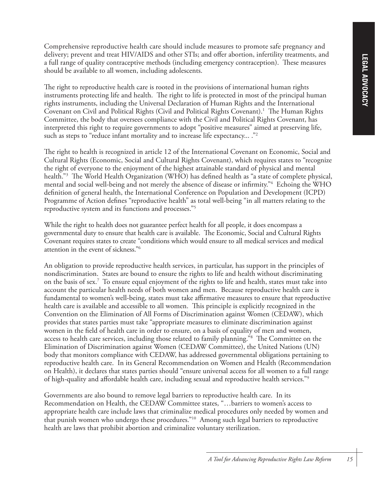Comprehensive reproductive health care should include measures to promote safe pregnancy and delivery; prevent and treat HIV/AIDS and other STIs; and offer abortion, infertility treatments, and a full range of quality contraceptive methods (including emergency contraception). These measures should be available to all women, including adolescents.

The right to reproductive health care is rooted in the provisions of international human rights instruments protecting life and health. The right to life is protected in most of the principal human rights instruments, including the Universal Declaration of Human Rights and the International Covenant on Civil and Political Rights (Civil and Political Rights Covenant).<sup>1</sup> The Human Rights Committee, the body that oversees compliance with the Civil and Political Rights Covenant, has interpreted this right to require governments to adopt "positive measures" aimed at preserving life, such as steps to "reduce infant mortality and to increase life expectancy... ."<sup>2</sup>

The right to health is recognized in article 12 of the International Covenant on Economic, Social and Cultural Rights (Economic, Social and Cultural Rights Covenant), which requires states to "recognize the right of everyone to the enjoyment of the highest attainable standard of physical and mental health."3 The World Health Organization (WHO) has defined health as "a state of complete physical, mental and social well-being and not merely the absence of disease or infirmity."4 Echoing the WHO definition of general health, the International Conference on Population and Development (ICPD) Programme of Action defines "reproductive health" as total well-being "in all matters relating to the reproductive system and its functions and processes."5

While the right to health does not guarantee perfect health for all people, it does encompass a governmental duty to ensure that health care is available. The Economic, Social and Cultural Rights Covenant requires states to create "conditions which would ensure to all medical services and medical attention in the event of sickness."6

An obligation to provide reproductive health services, in particular, has support in the principles of nondiscrimination. States are bound to ensure the rights to life and health without discriminating on the basis of sex.7 To ensure equal enjoyment of the rights to life and health, states must take into account the particular health needs of both women and men. Because reproductive health care is fundamental to women's well-being, states must take affirmative measures to ensure that reproductive health care is available and accessible to all women. This principle is explicitly recognized in the Convention on the Elimination of All Forms of Discrimination against Women (CEDAW), which provides that states parties must take "appropriate measures to eliminate discrimination against women in the field of health care in order to ensure, on a basis of equality of men and women, access to health care services, including those related to family planning."8 The Committee on the Elimination of Discrimination against Women (CEDAW Committee), the United Nations (UN) body that monitors compliance with CEDAW, has addressed governmental obligations pertaining to reproductive health care. In its General Recommendation on Women and Health (Recommendation on Health), it declares that states parties should "ensure universal access for all women to a full range of high-quality and affordable health care, including sexual and reproductive health services."9

Governments are also bound to remove legal barriers to reproductive health care. In its Recommendation on Health, the CEDAW Committee states, "…barriers to women's access to appropriate health care include laws that criminalize medical procedures only needed by women and that punish women who undergo these procedures."10 Among such legal barriers to reproductive health are laws that prohibit abortion and criminalize voluntary sterilization.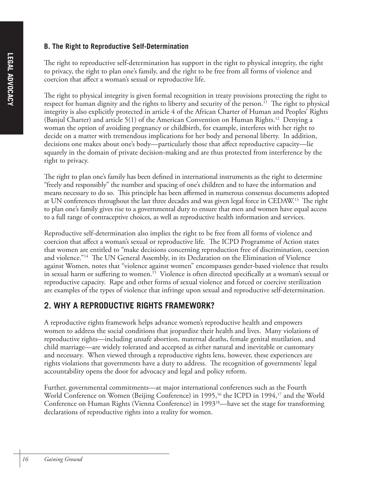#### **B. The Right to Reproductive Self-Determination**

The right to reproductive self-determination has support in the right to physical integrity, the right to privacy, the right to plan one's family, and the right to be free from all forms of violence and coercion that affect a woman's sexual or reproductive life.

The right to physical integrity is given formal recognition in treaty provisions protecting the right to respect for human dignity and the rights to liberty and security of the person.<sup>11</sup> The right to physical integrity is also explicitly protected in article 4 of the African Charter of Human and Peoples' Rights (Banjul Charter) and article 5(1) of the American Convention on Human Rights.<sup>12</sup> Denying a woman the option of avoiding pregnancy or childbirth, for example, interferes with her right to decide on a matter with tremendous implications for her body and personal liberty. In addition, decisions one makes about one's body—particularly those that affect reproductive capacity—lie squarely in the domain of private decision-making and are thus protected from interference by the right to privacy.

The right to plan one's family has been defined in international instruments as the right to determine "freely and responsibly" the number and spacing of one's children and to have the information and means necessary to do so. This principle has been affirmed in numerous consensus documents adopted at UN conferences throughout the last three decades and was given legal force in CEDAW.13 The right to plan one's family gives rise to a governmental duty to ensure that men and women have equal access to a full range of contraceptive choices, as well as reproductive health information and services.

Reproductive self-determination also implies the right to be free from all forms of violence and coercion that affect a woman's sexual or reproductive life. The ICPD Programme of Action states that women are entitled to "make decisions concerning reproduction free of discrimination, coercion and violence."14 The UN General Assembly, in its Declaration on the Elimination of Violence against Women, notes that "violence against women" encompasses gender-based violence that results in sexual harm or suffering to women.<sup>15</sup> Violence is often directed specifically at a woman's sexual or reproductive capacity. Rape and other forms of sexual violence and forced or coercive sterilization are examples of the types of violence that infringe upon sexual and reproductive self-determination.

# **2. WHY A REPRODUCTIVE RIGHTS FRAMEWORK?**

A reproductive rights framework helps advance women's reproductive health and empowers women to address the social conditions that jeopardize their health and lives. Many violations of reproductive rights—including unsafe abortion, maternal deaths, female genital mutilation, and child marriage—are widely tolerated and accepted as either natural and inevitable or customary and necessary. When viewed through a reproductive rights lens, however, these experiences are rights violations that governments have a duty to address. The recognition of governments' legal accountability opens the door for advocacy and legal and policy reform.

Further, governmental commitments—at major international conferences such as the Fourth World Conference on Women (Beijing Conference) in 1995,<sup>16</sup> the ICPD in 1994,<sup>17</sup> and the World Conference on Human Rights (Vienna Conference) in 199318—have set the stage for transforming declarations of reproductive rights into a reality for women.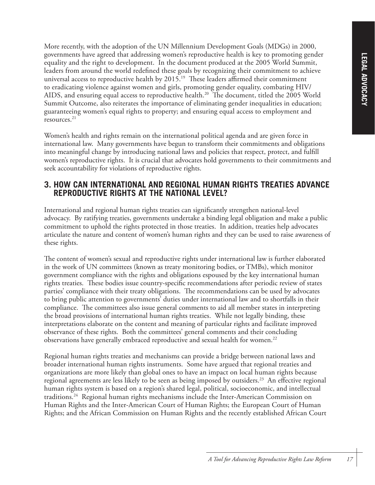More recently, with the adoption of the UN Millennium Development Goals (MDGs) in 2000, governments have agreed that addressing women's reproductive health is key to promoting gender equality and the right to development. In the document produced at the 2005 World Summit, leaders from around the world redefined these goals by recognizing their commitment to achieve universal access to reproductive health by 2015.<sup>19</sup> These leaders affirmed their commitment to eradicating violence against women and girls, promoting gender equality, combating HIV/ AIDS, and ensuring equal access to reproductive health.<sup>20</sup> The document, titled the 2005 World Summit Outcome, also reiterates the importance of eliminating gender inequalities in education; guaranteeing women's equal rights to property; and ensuring equal access to employment and resources.21

Women's health and rights remain on the international political agenda and are given force in international law. Many governments have begun to transform their commitments and obligations into meaningful change by introducing national laws and policies that respect, protect, and fulfill women's reproductive rights. It is crucial that advocates hold governments to their commitments and seek accountability for violations of reproductive rights.

## **3. HOW CAN INTERNATIONAL AND REGIONAL HUMAN RIGHTS TREATIES ADVANCE REPRODUCTIVE RIGHTS AT THE NATIONAL LEVEL?**

International and regional human rights treaties can significantly strengthen national-level advocacy. By ratifying treaties, governments undertake a binding legal obligation and make a public commitment to uphold the rights protected in those treaties. In addition, treaties help advocates articulate the nature and content of women's human rights and they can be used to raise awareness of these rights.

The content of women's sexual and reproductive rights under international law is further elaborated in the work of UN committees (known as treaty monitoring bodies, or TMBs), which monitor government compliance with the rights and obligations espoused by the key international human rights treaties. These bodies issue country-specific recommendations after periodic review of states parties' compliance with their treaty obligations. The recommendations can be used by advocates to bring public attention to governments' duties under international law and to shortfalls in their compliance. The committees also issue general comments to aid all member states in interpreting the broad provisions of international human rights treaties. While not legally binding, these interpretations elaborate on the content and meaning of particular rights and facilitate improved observance of these rights. Both the committees' general comments and their concluding observations have generally embraced reproductive and sexual health for women.<sup>22</sup>

Regional human rights treaties and mechanisms can provide a bridge between national laws and broader international human rights instruments. Some have argued that regional treaties and organizations are more likely than global ones to have an impact on local human rights because regional agreements are less likely to be seen as being imposed by outsiders.<sup>23</sup> An effective regional human rights system is based on a region's shared legal, political, socioeconomic, and intellectual traditions.24 Regional human rights mechanisms include the Inter-American Commission on Human Rights and the Inter-American Court of Human Rights; the European Court of Human Rights; and the African Commission on Human Rights and the recently established African Court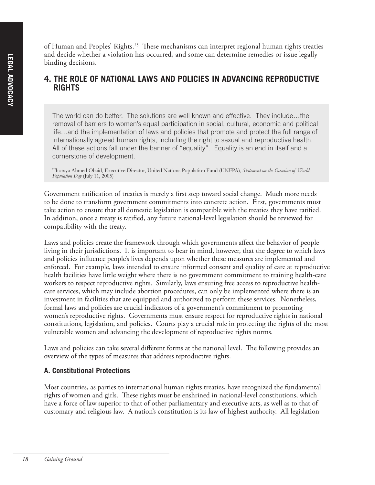of Human and Peoples' Rights.25 These mechanisms can interpret regional human rights treaties and decide whether a violation has occurred, and some can determine remedies or issue legally binding decisions.

#### **4. THE ROLE OF NATIONAL LAWS AND POLICIES IN ADVANCING REPRODUCTIVE RIGHTS**

The world can do better. The solutions are well known and effective. They include…the removal of barriers to women's equal participation in social, cultural, economic and political life…and the implementation of laws and policies that promote and protect the full range of internationally agreed human rights, including the right to sexual and reproductive health. All of these actions fall under the banner of "equality". Equality is an end in itself and a cornerstone of development.

Thoraya Ahmed Obaid, Executive Director, United Nations Population Fund (UNFPA), *Statement on the Occasion of World Population Day* (July 11, 2005)

Government ratification of treaties is merely a first step toward social change. Much more needs to be done to transform government commitments into concrete action. First, governments must take action to ensure that all domestic legislation is compatible with the treaties they have ratified. In addition, once a treaty is ratified, any future national-level legislation should be reviewed for compatibility with the treaty.

Laws and policies create the framework through which governments affect the behavior of people living in their jurisdictions. It is important to bear in mind, however, that the degree to which laws and policies influence people's lives depends upon whether these measures are implemented and enforced. For example, laws intended to ensure informed consent and quality of care at reproductive health facilities have little weight where there is no government commitment to training health-care workers to respect reproductive rights. Similarly, laws ensuring free access to reproductive healthcare services, which may include abortion procedures, can only be implemented where there is an investment in facilities that are equipped and authorized to perform these services. Nonetheless, formal laws and policies are crucial indicators of a government's commitment to promoting women's reproductive rights. Governments must ensure respect for reproductive rights in national constitutions, legislation, and policies. Courts play a crucial role in protecting the rights of the most vulnerable women and advancing the development of reproductive rights norms.

Laws and policies can take several different forms at the national level. The following provides an overview of the types of measures that address reproductive rights.

#### **A. Constitutional Protections**

Most countries, as parties to international human rights treaties, have recognized the fundamental rights of women and girls. These rights must be enshrined in national-level constitutions, which have a force of law superior to that of other parliamentary and executive acts, as well as to that of customary and religious law. A nation's constitution is its law of highest authority. All legislation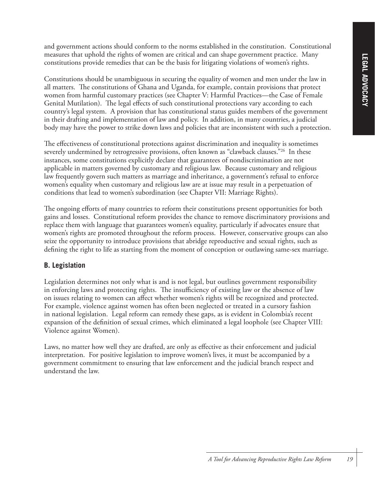and government actions should conform to the norms established in the constitution. Constitutional measures that uphold the rights of women are critical and can shape government practice. Many constitutions provide remedies that can be the basis for litigating violations of women's rights.

Constitutions should be unambiguous in securing the equality of women and men under the law in all matters. The constitutions of Ghana and Uganda, for example, contain provisions that protect women from harmful customary practices (see Chapter V: Harmful Practices—the Case of Female Genital Mutilation). The legal effects of such constitutional protections vary according to each country's legal system. A provision that has constitutional status guides members of the government in their drafting and implementation of law and policy. In addition, in many countries, a judicial body may have the power to strike down laws and policies that are inconsistent with such a protection.

The effectiveness of constitutional protections against discrimination and inequality is sometimes severely undermined by retrogressive provisions, often known as "clawback clauses."<sup>26</sup> In these instances, some constitutions explicitly declare that guarantees of nondiscrimination are not applicable in matters governed by customary and religious law. Because customary and religious law frequently govern such matters as marriage and inheritance, a government's refusal to enforce women's equality when customary and religious law are at issue may result in a perpetuation of conditions that lead to women's subordination (see Chapter VII: Marriage Rights).

The ongoing efforts of many countries to reform their constitutions present opportunities for both gains and losses. Constitutional reform provides the chance to remove discriminatory provisions and replace them with language that guarantees women's equality, particularly if advocates ensure that women's rights are promoted throughout the reform process. However, conservative groups can also seize the opportunity to introduce provisions that abridge reproductive and sexual rights, such as defining the right to life as starting from the moment of conception or outlawing same-sex marriage.

#### **B. Legislation**

Legislation determines not only what is and is not legal, but outlines government responsibility in enforcing laws and protecting rights. The insufficiency of existing law or the absence of law on issues relating to women can affect whether women's rights will be recognized and protected. For example, violence against women has often been neglected or treated in a cursory fashion in national legislation. Legal reform can remedy these gaps, as is evident in Colombia's recent expansion of the definition of sexual crimes, which eliminated a legal loophole (see Chapter VIII: Violence against Women).

Laws, no matter how well they are drafted, are only as effective as their enforcement and judicial interpretation. For positive legislation to improve women's lives, it must be accompanied by a government commitment to ensuring that law enforcement and the judicial branch respect and understand the law.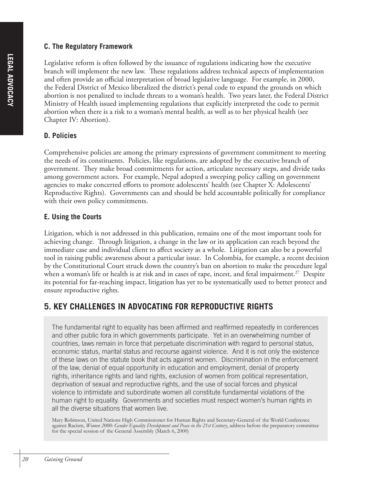#### **C. The Regulatory Framework**

Legislative reform is often followed by the issuance of regulations indicating how the executive branch will implement the new law. These regulations address technical aspects of implementation and often provide an official interpretation of broad legislative language. For example, in 2000, the Federal District of Mexico liberalized the district's penal code to expand the grounds on which abortion is not penalized to include threats to a woman's health. Two years later, the Federal District Ministry of Health issued implementing regulations that explicitly interpreted the code to permit abortion when there is a risk to a woman's mental health, as well as to her physical health (see Chapter IV: Abortion).

#### **D. Policies**

Comprehensive policies are among the primary expressions of government commitment to meeting the needs of its constituents. Policies, like regulations, are adopted by the executive branch of government. They make broad commitments for action, articulate necessary steps, and divide tasks among government actors. For example, Nepal adopted a sweeping policy calling on government agencies to make concerted efforts to promote adolescents' health (see Chapter X: Adolescents' Reproductive Rights). Governments can and should be held accountable politically for compliance with their own policy commitments.

#### **E. Using the Courts**

Litigation, which is not addressed in this publication, remains one of the most important tools for achieving change. Through litigation, a change in the law or its application can reach beyond the immediate case and individual client to affect society as a whole. Litigation can also be a powerful tool in raising public awareness about a particular issue. In Colombia, for example, a recent decision by the Constitutional Court struck down the country's ban on abortion to make the procedure legal when a woman's life or health is at risk and in cases of rape, incest, and fetal impairment.<sup>27</sup> Despite its potential for far-reaching impact, litigation has yet to be systematically used to better protect and ensure reproductive rights.

## **5. KEY CHALLENGES IN ADVOCATING FOR REPRODUCTIVE RIGHTS**

The fundamental right to equality has been affirmed and reaffirmed repeatedly in conferences and other public fora in which governments participate. Yet in an overwhelming number of countries, laws remain in force that perpetuate discrimination with regard to personal status, economic status, marital status and recourse against violence. And it is not only the existence of these laws on the statute book that acts against women. Discrimination in the enforcement of the law, denial of equal opportunity in education and employment, denial of property rights, inheritance rights and land rights, exclusion of women from political representation, deprivation of sexual and reproductive rights, and the use of social forces and physical violence to intimidate and subordinate women all constitute fundamental violations of the human right to equality. Governments and societies must respect women's human rights in all the diverse situations that women live.

Mary Robinson, United Nations High Commissioner for Human Rights and Secretary-General of the World Conference against Racism, *Women 2000: Gender Equality Development and Peace in the 21st Century*, address before the preparatory committee for the special session of the General Assembly (March 6, 2000)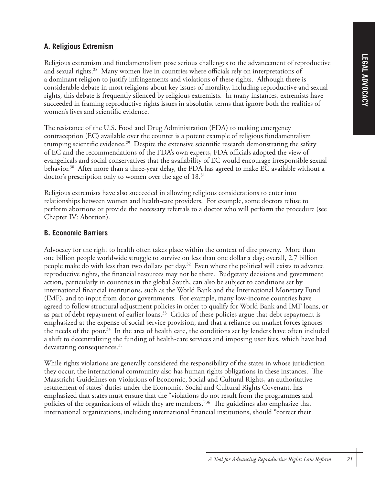#### **A. Religious Extremism**

Religious extremism and fundamentalism pose serious challenges to the advancement of reproductive and sexual rights.28Many women live in countries where officials rely on interpretations of a dominant religion to justify infringements and violations of these rights. Although there is considerable debate in most religions about key issues of morality, including reproductive and sexual rights, this debate is frequently silenced by religious extremists. In many instances, extremists have succeeded in framing reproductive rights issues in absolutist terms that ignore both the realities of women's lives and scientific evidence.

The resistance of the U.S. Food and Drug Administration (FDA) to making emergency contraception (EC) available over the counter is a potent example of religious fundamentalism trumping scientific evidence.<sup>29</sup> Despite the extensive scientific research demonstrating the safety of EC and the recommendations of the FDA's own experts, FDA officials adopted the view of evangelicals and social conservatives that the availability of EC would encourage irresponsible sexual behavior.<sup>30</sup> After more than a three-year delay, the FDA has agreed to make EC available without a doctor's prescription only to women over the age of 18.<sup>31</sup>

Religious extremists have also succeeded in allowing religious considerations to enter into relationships between women and health-care providers. For example, some doctors refuse to perform abortions or provide the necessary referrals to a doctor who will perform the procedure (see Chapter IV: Abortion).

#### **B. Economic Barriers**

Advocacy for the right to health often takes place within the context of dire poverty. More than one billion people worldwide struggle to survive on less than one dollar a day; overall, 2.7 billion people make do with less than two dollars per day.32 Even where the political will exists to advance reproductive rights, the financial resources may not be there. Budgetary decisions and government action, particularly in countries in the global South, can also be subject to conditions set by international financial institutions, such as the World Bank and the International Monetary Fund (IMF), and to input from donor governments. For example, many low-income countries have agreed to follow structural adjustment policies in order to qualify for World Bank and IMF loans, or as part of debt repayment of earlier loans.<sup>33</sup> Critics of these policies argue that debt repayment is emphasized at the expense of social service provision, and that a reliance on market forces ignores the needs of the poor.34 In the area of health care, the conditions set by lenders have often included a shift to decentralizing the funding of health-care services and imposing user fees, which have had devastating consequences.<sup>35</sup>

While rights violations are generally considered the responsibility of the states in whose jurisdiction they occur, the international community also has human rights obligations in these instances. The Maastricht Guidelines on Violations of Economic, Social and Cultural Rights, an authoritative restatement of states' duties under the Economic, Social and Cultural Rights Covenant, has emphasized that states must ensure that the "violations do not result from the programmes and policies of the organizations of which they are members."36 The guidelines also emphasize that international organizations, including international financial institutions, should "correct their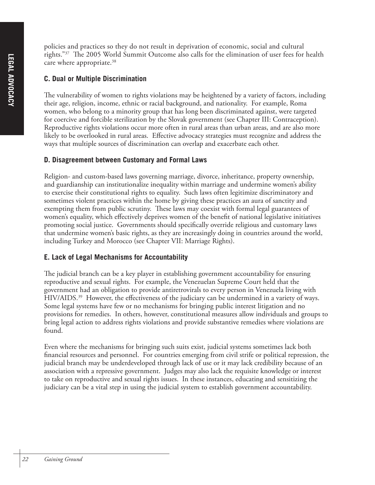policies and practices so they do not result in deprivation of economic, social and cultural rights."37 The 2005 World Summit Outcome also calls for the elimination of user fees for health care where appropriate.<sup>38</sup>

#### **C. Dual or Multiple Discrimination**

The vulnerability of women to rights violations may be heightened by a variety of factors, including their age, religion, income, ethnic or racial background, and nationality. For example, Roma women, who belong to a minority group that has long been discriminated against, were targeted for coercive and forcible sterilization by the Slovak government (see Chapter III: Contraception). Reproductive rights violations occur more often in rural areas than urban areas, and are also more likely to be overlooked in rural areas. Effective advocacy strategies must recognize and address the ways that multiple sources of discrimination can overlap and exacerbate each other.

#### **D. Disagreement between Customary and Formal Laws**

Religion- and custom-based laws governing marriage, divorce, inheritance, property ownership, and guardianship can institutionalize inequality within marriage and undermine women's ability to exercise their constitutional rights to equality. Such laws often legitimize discriminatory and sometimes violent practices within the home by giving these practices an aura of sanctity and exempting them from public scrutiny. These laws may coexist with formal legal guarantees of women's equality, which effectively deprives women of the benefit of national legislative initiatives promoting social justice. Governments should specifically override religious and customary laws that undermine women's basic rights, as they are increasingly doing in countries around the world, including Turkey and Morocco (see Chapter VII: Marriage Rights).

#### **E. Lack of Legal Mechanisms for Accountability**

The judicial branch can be a key player in establishing government accountability for ensuring reproductive and sexual rights. For example, the Venezuelan Supreme Court held that the government had an obligation to provide antiretrovirals to every person in Venezuela living with HIV/AIDS.<sup>39</sup> However, the effectiveness of the judiciary can be undermined in a variety of ways. Some legal systems have few or no mechanisms for bringing public interest litigation and no provisions for remedies. In others, however, constitutional measures allow individuals and groups to bring legal action to address rights violations and provide substantive remedies where violations are found.

Even where the mechanisms for bringing such suits exist, judicial systems sometimes lack both financial resources and personnel. For countries emerging from civil strife or political repression, the judicial branch may be underdeveloped through lack of use or it may lack credibility because of an association with a repressive government. Judges may also lack the requisite knowledge or interest to take on reproductive and sexual rights issues. In these instances, educating and sensitizing the judiciary can be a vital step in using the judicial system to establish government accountability.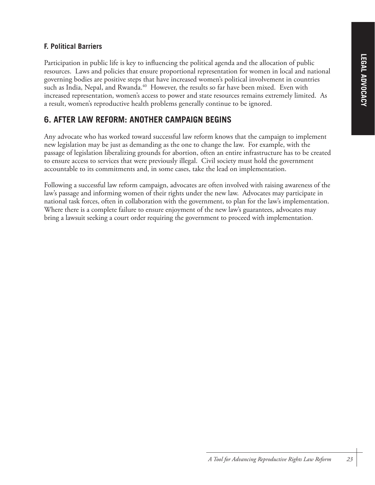## **F. Political Barriers**

Participation in public life is key to influencing the political agenda and the allocation of public resources. Laws and policies that ensure proportional representation for women in local and national governing bodies are positive steps that have increased women's political involvement in countries such as India, Nepal, and Rwanda.<sup>40</sup> However, the results so far have been mixed. Even with increased representation, women's access to power and state resources remains extremely limited. As a result, women's reproductive health problems generally continue to be ignored.

# **6. AFTER LAW REFORM: ANOTHER CAMPAIGN BEGINS**

Any advocate who has worked toward successful law reform knows that the campaign to implement new legislation may be just as demanding as the one to change the law. For example, with the passage of legislation liberalizing grounds for abortion, often an entire infrastructure has to be created to ensure access to services that were previously illegal. Civil society must hold the government accountable to its commitments and, in some cases, take the lead on implementation.

Following a successful law reform campaign, advocates are often involved with raising awareness of the law's passage and informing women of their rights under the new law. Advocates may participate in national task forces, often in collaboration with the government, to plan for the law's implementation. Where there is a complete failure to ensure enjoyment of the new law's guarantees, advocates may bring a lawsuit seeking a court order requiring the government to proceed with implementation.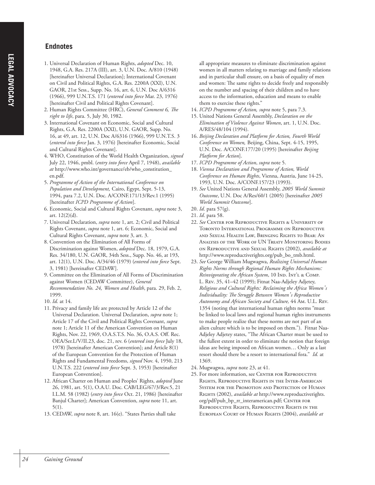#### **Endnotes**

- 1. Universal Declaration of Human Rights, *adopted* Dec. 10, 1948, G.A. Res. 217A (III), art. 3, U.N. Doc. A/810 (1948) [hereinafter Universal Declaration]; International Covenant on Civil and Political Rights, G.A. Res. 2200A (XXI), U.N. GAOR, 21st Sess., Supp. No. 16, art. 6, U.N. Doc A/6316 (1966), 999 U.N.T.S. 171 (*entered into force* Mar. 23, 1976) [hereinafter Civil and Political Rights Covenant].
- 2. Human Rights Committee (HRC), *General Comment 6, The right to life*, para. 5, July 30, 1982.
- 3. International Covenant on Economic, Social and Cultural Rights, G.A. Res. 2200A (XXI), U.N. GAOR, Supp. No. 16, at 49, art. 12, U.N. Doc A/6316 (1966), 999 U.N.T.S. 3 (*entered into force* Jan. 3, 1976) [hereinafter Economic, Social and Cultural Rights Covenant].
- 4. WHO, Constitution of the World Health Organization, *signed* July 22, 1946, pmbl. (*entry into force* April 7, 1948), *available at* http://www.who.int/governance/eb/who\_constitution\_ en.pdf.
- 5. *Programme of Action of the International Conference on Population and Development,* Cairo, Egypt, Sept. 5-13, 1994, para 7.2, U.N. Doc. A/CONF.171/13/Rev.1 (1995) [hereinafter *ICPD Programme of Action*].
- 6. Economic, Social and Cultural Rights Covenant, *supra* note 3, art. 12(2)(d).
- 7. Universal Declaration, *supra* note 1, art. 2; Civil and Political Rights Covenant, *supra* note 1, art. 6; Economic, Social and Cultural Rights Covenant, *supra* note 3, art. 3.
- 8. Convention on the Elimination of All Forms of Discrimination against Women, *adopted* Dec. 18, 1979, G.A. Res. 34/180, U.N. GAOR, 34th Sess., Supp. No. 46, at 193, art. 12(1), U.N. Doc. A/34/46 (1979) (*entered into force* Sept. 3, 1981) [hereinafter CEDAW].
- 9. Committee on the Elimination of All Forms of Discrimination against Women (CEDAW Committee), *General Recommendation No. 24, Women and Health*, para. 29, Feb. 2, 1999.
- 10. *Id.* at 14.
- 11. Privacy and family life are protected by Article 12 of the Universal Declaration. Universal Declaration, *supra* note 1; Article 17 of the Civil and Political Rights Covenant, *supra* note 1; Article 11 of the American Convention on Human Rights, Nov. 22, 1969, O.A.S.T.S. No. 36, O.A.S. Off. Rec. OEA/Ser.L/V/II.23, doc. 21, rev. 6 (*entered into force* July 18, 1978) [hereinafter American Convention]; and Article 8(1) of the European Convention for the Protection of Human Rights and Fundamental Freedoms, *signed* Nov. 4, 1950, 213 U.N.T.S. 222 (*entered into force* Sept. 3, 1953) [hereinafter European Convention].
- 12. African Charter on Human and Peoples' Rights, *adopted* June 26, 1981, art. 5(1), O.A.U. Doc. CAB/LEG/67/3/Rev.5, 21 I.L.M. 58 (1982) (*entry into force* Oct. 21, 1986) [hereinafter Banjul Charter]; American Convention, *supra* note 11, art. 5(1).
- 13. CEDAW, *supra* note 8, art. 16(e). "States Parties shall take

all appropriate measures to eliminate discrimination against women in all matters relating to marriage and family relations and in particular shall ensure, on a basis of equality of men and women: The same rights to decide freely and responsibly on the number and spacing of their children and to have access to the information, education and means to enable them to exercise these rights."

- 14. *ICPD Programme of Action, supra* note 5, para 7.3.
- 15. United Nations General Assembly, *Declaration on the Elimination of Violence Against Women*, art. 1, U.N. Doc. A/RES/48/104 (1994).
- 16. *Beijing Declaration and Platform for Action, Fourth World Conference on Women,* Beijing, China, Sept. 4-15, 1995, U.N. Doc. A/CONF.177/20 (1995) [hereinafter *Beijing Platform for Action*].
- 17. *ICPD Programme of Action*, *supra* note 5.
- 18. *Vienna Declaration and Programme of Action, World Conference on Human Rights*, Vienna, Austria, June 14-25, 1993, U.N. Doc. A/CONF.157/23 (1993).
- 19. *See* United Nations General Assembly, *2005 World Summit Outcome*, U.N. Doc A/Res/60/1 (2005) [hereinafter *2005 World Summit Outcome*].
- 20. *Id*. para 57(g).
- 21. *Id*. para 58.
- 22. *See* CENTER FOR REPRODUCTIVE RIGHTS & UNIVERSITY OF TORONTO INTERNATIONAL PROGRAMME ON REPRODUCTIVE AND SEXUAL HEALTH LAW, BRINGING RIGHTS TO BEAR: AN ANALYSIS OF THE WORK OF UN TREATY MONITORING BODIES ON REPRODUCTIVE AND SEXUAL RIGHTS (2002), *available at* http://www.reproductiverights.org/pub\_bo\_tmb.html.
- 23. *See* George William Mugwagwa, *Realizing Universal Human Rights Norms through Regional Human Rights Mechanisms: Reinvigorating the African System*, 10 IND. INT'L & COMP. L. REV. 35, 41–42 (1999); Fitnat Naa-Adjeley Adjetey, *Religious and Cultural Rights: Reclaiming the Africa Women's Individuality: The Struggle Between Women's Reproductive Autonomy and African Society and Culture,* 44 AM. U.L. REV. 1354 (noting that international human rights norms "must be linked to local laws and regional human rights instruments to make people realize that these norms are not part of an alien culture which is to be imposed on them."). Fitnat Naa-Adjeley Adjetey states, "The African Charter must be used to the fullest extent in order to eliminate the notion that foreign ideas are being imposed on African women… Only as a last resort should there be a resort to international fora." *Id.* at 1369.
- 24. Mugwagwa, *supra* note 23, at 41.
- 25. For more information, see CENTER FOR REPRODUCTIVE RIGHTS, REPRODUCTIVE RIGHTS IN THE INTER-AMERICAN SYSTEM FOR THE PROMOTION AND PROTECTION OF HUMAN RIGHTS (2002), *available at* http://www.reproductiverights. org/pdf/pub\_bp\_rr\_interamerican.pdf; CENTER FOR REPRODUCTIVE RIGHTS, REPRODUCTIVE RIGHTS IN THE EUROPEAN COURT OF HUMAN RIGHTS (2004), *available at*